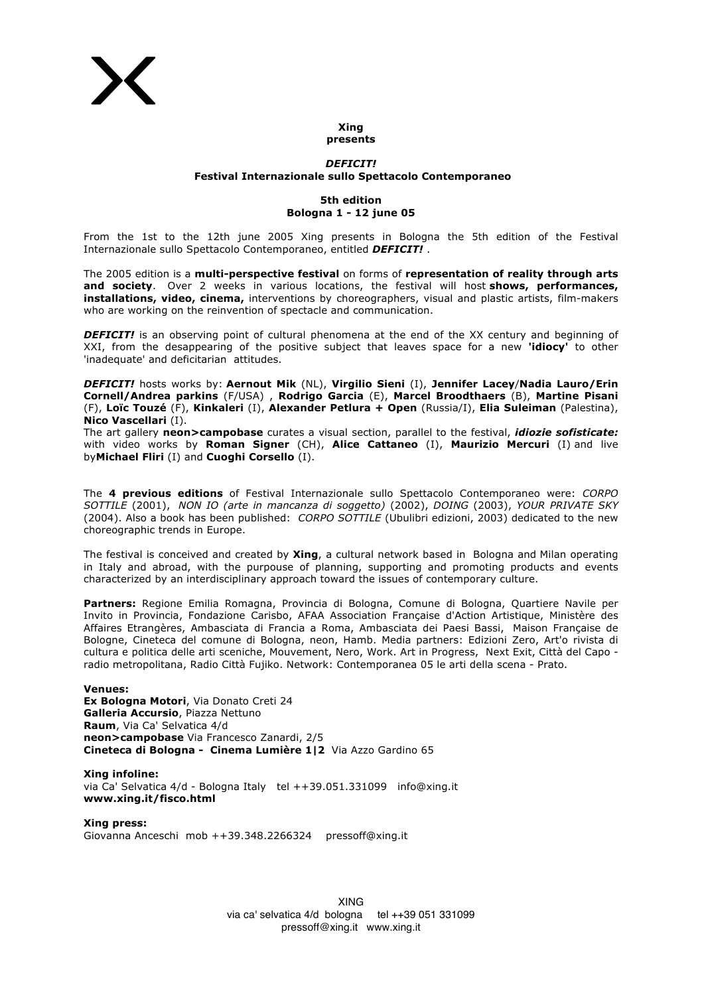## **Xing presents**

# *DEFICIT!* **Festival Internazionale sullo Spettacolo Contemporaneo**

# **5th edition Bologna 1 - 12 june 05**

From the 1st to the 12th june 2005 Xing presents in Bologna the 5th edition of the Festival Internazionale sullo Spettacolo Contemporaneo, entitled *DEFICIT!* .

The 2005 edition is a **multi-perspective festival** on forms of **representation of reality through arts and society**. Over 2 weeks in various locations, the festival will host **shows, performances, installations, video, cinema,** interventions by choreographers, visual and plastic artists, film-makers who are working on the reinvention of spectacle and communication.

**DEFICIT!** is an observing point of cultural phenomena at the end of the XX century and beginning of XXI, from the desappearing of the positive subject that leaves space for a new **'idiocy'** to other 'inadequate' and deficitarian attitudes.

*DEFICIT!* hosts works by: **Aernout Mik** (NL), **Virgilio Sieni** (I), **Jennifer Lacey**/**Nadia Lauro/Erin Cornell/Andrea parkins** (F/USA) , **Rodrigo Garcia** (E), **Marcel Broodthaers** (B), **Martine Pisani**  (F), **Loïc Touzé** (F), **Kinkaleri** (I), **Alexander Petlura + Open** (Russia/I), **Elia Suleiman** (Palestina), **Nico Vascellari** (I).

The art gallery **neon>campobase** curates a visual section, parallel to the festival, *idiozie sofisticate:* with video works by **Roman Signer** (CH), **Alice Cattaneo** (I), **Maurizio Mercuri** (I) and live by**Michael Fliri** (I) and **Cuoghi Corsello** (I).

The **4 previous editions** of Festival Internazionale sullo Spettacolo Contemporaneo were: *CORPO SOTTILE* (2001), *NON IO (arte in mancanza di soggetto)* (2002), *DOING* (2003), *YOUR PRIVATE SKY* (2004). Also a book has been published: *CORPO SOTTILE* (Ubulibri edizioni, 2003) dedicated to the new choreographic trends in Europe.

The festival is conceived and created by **Xing**, a cultural network based in Bologna and Milan operating in Italy and abroad, with the purpouse of planning, supporting and promoting products and events characterized by an interdisciplinary approach toward the issues of contemporary culture.

**Partners:** Regione Emilia Romagna, Provincia di Bologna, Comune di Bologna, Quartiere Navile per Invito in Provincia, Fondazione Carisbo, AFAA Association Française d'Action Artistique, Ministère des Affaires Etrangères, Ambasciata di Francia a Roma, Ambasciata dei Paesi Bassi, Maison Française de Bologne, Cineteca del comune di Bologna, neon, Hamb. Media partners: Edizioni Zero, Art'o rivista di cultura e politica delle arti sceniche, Mouvement, Nero, Work. Art in Progress, Next Exit, Città del Capo radio metropolitana, Radio Città Fujiko. Network: Contemporanea 05 le arti della scena - Prato.

## **Venues:**

**Ex Bologna Motori**, Via Donato Creti 24 **Galleria Accursio**, Piazza Nettuno **Raum**, Via Ca' Selvatica 4/d **neon>campobase** Via Francesco Zanardi, 2/5 **Cineteca di Bologna - Cinema Lumière 1|2** Via Azzo Gardino 65

**Xing infoline:** via Ca' Selvatica 4/d - Bologna Italy tel ++39.051.331099 info@xing.it **www.xing.it/fisco.html**

**Xing press:** Giovanna Anceschi mob ++39.348.2266324 pressoff@xing.it